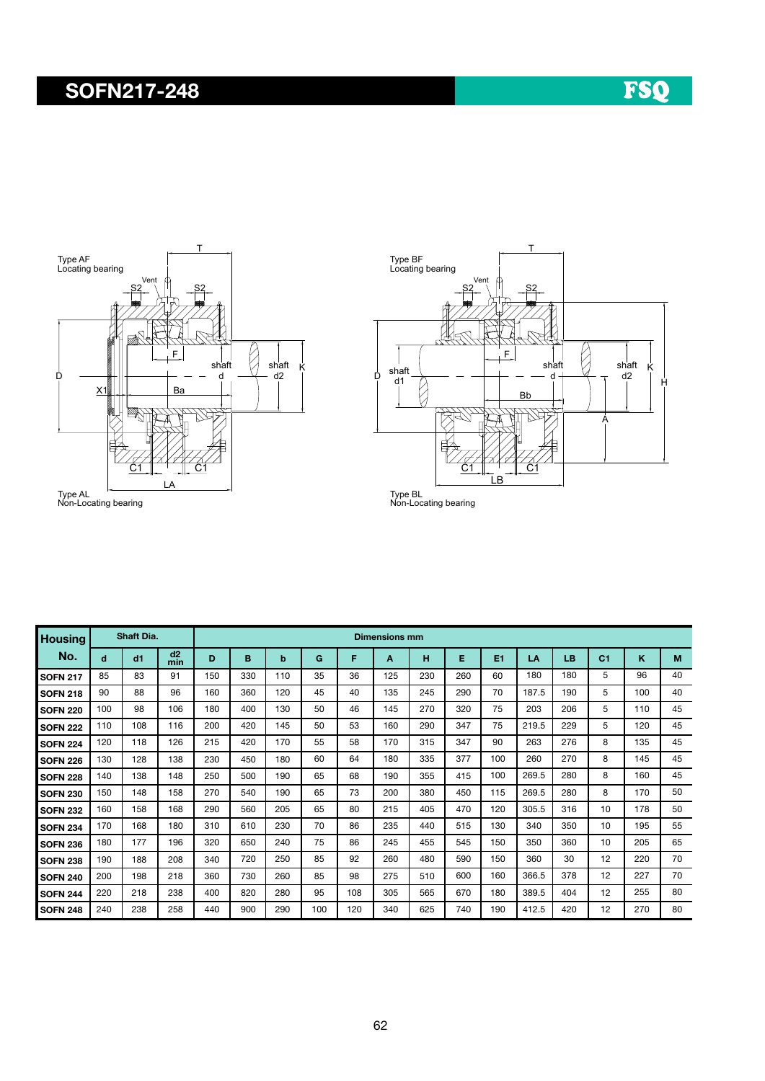## SOFN217-248





Type AL Non-Locating bearing

| <b>Housing</b>  | Shaft Dia. |     |           | <b>Dimensions mm</b> |     |     |     |     |     |     |     |     |       |     |                |     |    |
|-----------------|------------|-----|-----------|----------------------|-----|-----|-----|-----|-----|-----|-----|-----|-------|-----|----------------|-----|----|
| No.             | d          | dd1 | d2<br>min | D                    | B   | b   | G   | F   | A   | н   | Е   | E1  | LA    | LB  | C <sub>1</sub> | ĸ   | M  |
| <b>SOFN 217</b> | 85         | 83  | 91        | 150                  | 330 | 110 | 35  | 36  | 125 | 230 | 260 | 60  | 180   | 180 | 5              | 96  | 40 |
| <b>SOFN 218</b> | 90         | 88  | 96        | 160                  | 360 | 120 | 45  | 40  | 135 | 245 | 290 | 70  | 187.5 | 190 | 5              | 100 | 40 |
| <b>SOFN 220</b> | 100        | 98  | 106       | 180                  | 400 | 130 | 50  | 46  | 145 | 270 | 320 | 75  | 203   | 206 | 5              | 110 | 45 |
| <b>SOFN 222</b> | 110        | 108 | 116       | 200                  | 420 | 145 | 50  | 53  | 160 | 290 | 347 | 75  | 219.5 | 229 | 5              | 120 | 45 |
| <b>SOFN 224</b> | 120        | 118 | 126       | 215                  | 420 | 170 | 55  | 58  | 170 | 315 | 347 | 90  | 263   | 276 | 8              | 135 | 45 |
| <b>SOFN 226</b> | 130        | 128 | 138       | 230                  | 450 | 180 | 60  | 64  | 180 | 335 | 377 | 100 | 260   | 270 | 8              | 145 | 45 |
| <b>SOFN 228</b> | 140        | 138 | 148       | 250                  | 500 | 190 | 65  | 68  | 190 | 355 | 415 | 100 | 269.5 | 280 | 8              | 160 | 45 |
| <b>SOFN 230</b> | 150        | 148 | 158       | 270                  | 540 | 190 | 65  | 73  | 200 | 380 | 450 | 115 | 269.5 | 280 | 8              | 170 | 50 |
| <b>SOFN 232</b> | 160        | 158 | 168       | 290                  | 560 | 205 | 65  | 80  | 215 | 405 | 470 | 120 | 305.5 | 316 | 10             | 178 | 50 |
| <b>SOFN 234</b> | 170        | 168 | 180       | 310                  | 610 | 230 | 70  | 86  | 235 | 440 | 515 | 130 | 340   | 350 | 10             | 195 | 55 |
| <b>SOFN 236</b> | 180        | 177 | 196       | 320                  | 650 | 240 | 75  | 86  | 245 | 455 | 545 | 150 | 350   | 360 | 10             | 205 | 65 |
| <b>SOFN 238</b> | 190        | 188 | 208       | 340                  | 720 | 250 | 85  | 92  | 260 | 480 | 590 | 150 | 360   | 30  | 12             | 220 | 70 |
| <b>SOFN 240</b> | 200        | 198 | 218       | 360                  | 730 | 260 | 85  | 98  | 275 | 510 | 600 | 160 | 366.5 | 378 | 12             | 227 | 70 |
| <b>SOFN 244</b> | 220        | 218 | 238       | 400                  | 820 | 280 | 95  | 108 | 305 | 565 | 670 | 180 | 389.5 | 404 | 12             | 255 | 80 |
| <b>SOFN 248</b> | 240        | 238 | 258       | 440                  | 900 | 290 | 100 | 120 | 340 | 625 | 740 | 190 | 412.5 | 420 | 12             | 270 | 80 |